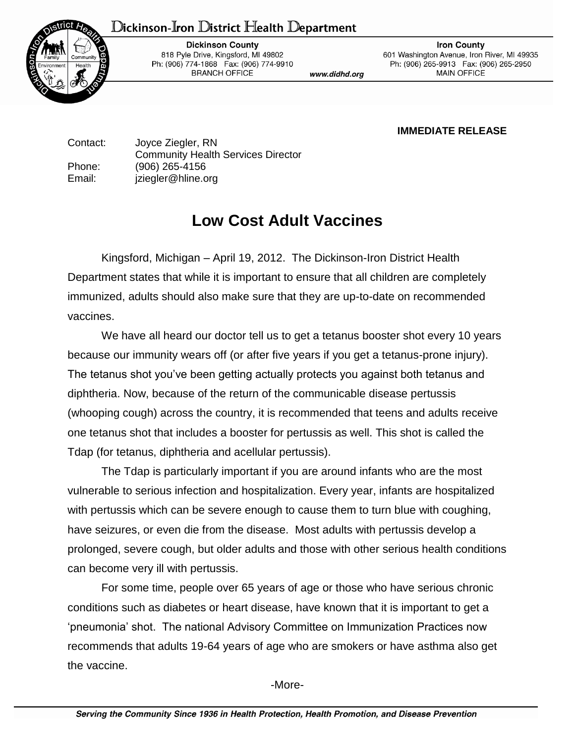## Dickinson-Iron District Health Department



**Dickinson County** 818 Pyle Drive, Kingsford, MI 49802 Ph: (906) 774-1868 Fax: (906) 774-9910 **BRANCH OFFICE** 

www.didhd.org

**Iron County** 601 Washington Avenue, Iron River, MI 49935 Ph: (906) 265-9913 Fax: (906) 265-2950 **MAIN OFFICE** 

**IMMEDIATE RELEASE**

Contact: Joyce Ziegler, RN Community Health Services Director Phone: (906) 265-4156 Email: jziegler@hline.org

## **Low Cost Adult Vaccines**

Kingsford, Michigan – April 19, 2012. The Dickinson-Iron District Health Department states that while it is important to ensure that all children are completely immunized, adults should also make sure that they are up-to-date on recommended vaccines.

We have all heard our doctor tell us to get a tetanus booster shot every 10 years because our immunity wears off (or after five years if you get a tetanus-prone injury). The tetanus shot you've been getting actually protects you against both tetanus and diphtheria. Now, because of the return of the communicable disease pertussis (whooping cough) across the country, it is recommended that teens and adults receive one tetanus shot that includes a booster for pertussis as well. This shot is called the Tdap (for tetanus, diphtheria and acellular pertussis).

The Tdap is particularly important if you are around infants who are the most vulnerable to serious infection and hospitalization. Every year, infants are hospitalized with pertussis which can be severe enough to cause them to turn blue with coughing, have seizures, or even die from the disease. Most adults with pertussis develop a prolonged, severe cough, but older adults and those with other serious health conditions can become very ill with pertussis.

For some time, people over 65 years of age or those who have serious chronic conditions such as diabetes or heart disease, have known that it is important to get a 'pneumonia' shot. The national Advisory Committee on Immunization Practices now recommends that adults 19-64 years of age who are smokers or have asthma also get the vaccine.

-More-